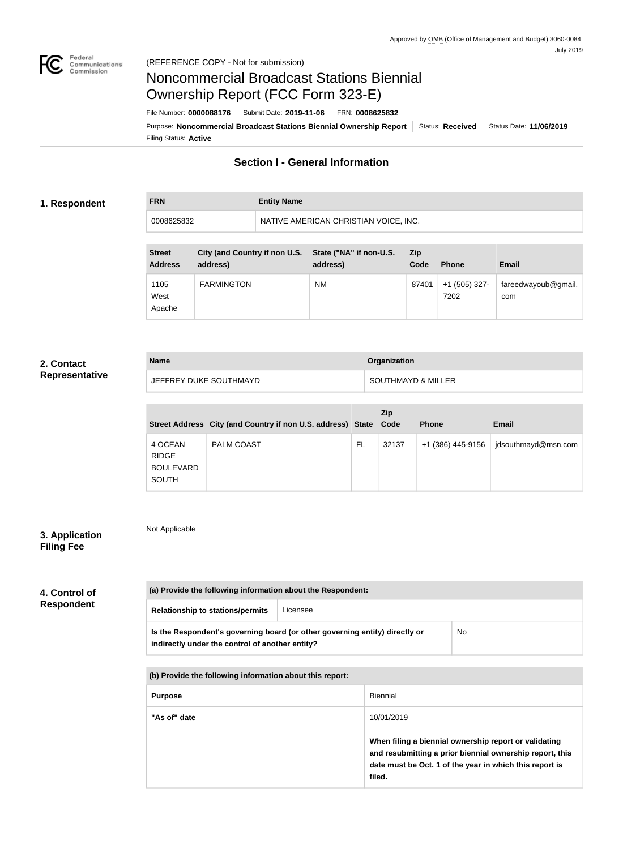

**FRN Entity Name**

# Noncommercial Broadcast Stations Biennial Ownership Report (FCC Form 323-E)

Filing Status: **Active** Purpose: Noncommercial Broadcast Stations Biennial Ownership Report Status: Received Status Date: 11/06/2019 File Number: **0000088176** Submit Date: **2019-11-06** FRN: **0008625832**

### **Section I - General Information**

#### **1. Respondent**

0008625832 NATIVE AMERICAN CHRISTIAN VOICE, INC.

| <b>Street</b><br><b>Address</b> | City (and Country if non U.S.<br>address) | State ("NA" if non-U.S.<br>address) | <b>Zip</b><br>Code | <b>Phone</b>          | <b>Email</b>               |
|---------------------------------|-------------------------------------------|-------------------------------------|--------------------|-----------------------|----------------------------|
| 1105<br>West<br>Apache          | <b>FARMINGTON</b>                         | <b>NM</b>                           | 87401              | +1 (505) 327-<br>7202 | fareedwayoub@gmail.<br>com |

#### **2. Contact Representative**

| <b>Name</b>            | <b>Organization</b> |
|------------------------|---------------------|
| JEFFREY DUKE SOUTHMAYD | SOUTHMAYD & MILLER  |

|                                                             | Street Address City (and Country if non U.S. address) State Code |    | Zip   | <b>Phone</b>      | Email               |
|-------------------------------------------------------------|------------------------------------------------------------------|----|-------|-------------------|---------------------|
| 4 OCEAN<br><b>RIDGE</b><br><b>BOULEVARD</b><br><b>SOUTH</b> | <b>PALM COAST</b>                                                | FL | 32137 | +1 (386) 445-9156 | jdsouthmayd@msn.com |

#### **3. Application Filing Fee**

Not Applicable

| 4. Control of     |  |
|-------------------|--|
| <b>Respondent</b> |  |

| <b>Relationship to stations/permits</b><br>Licensee |                                                                             |           |  |
|-----------------------------------------------------|-----------------------------------------------------------------------------|-----------|--|
| indirectly under the control of another entity?     | Is the Respondent's governing board (or other governing entity) directly or | <b>No</b> |  |

| <u>NI LONGO GIO IVIIVIIIIN IIIIVIIIIKGOIL UNVULGIID IVPOLGI</u> |                                                                                                                                                                                        |  |
|-----------------------------------------------------------------|----------------------------------------------------------------------------------------------------------------------------------------------------------------------------------------|--|
| <b>Purpose</b>                                                  | Biennial                                                                                                                                                                               |  |
| "As of" date                                                    | 10/01/2019                                                                                                                                                                             |  |
|                                                                 | When filing a biennial ownership report or validating<br>and resubmitting a prior biennial ownership report, this<br>date must be Oct. 1 of the year in which this report is<br>filed. |  |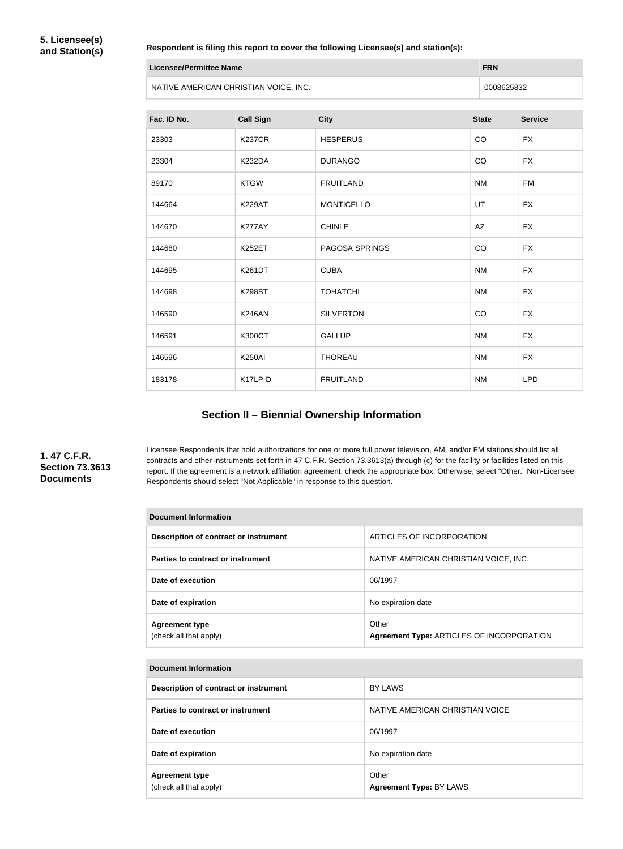#### **Respondent is filing this report to cover the following Licensee(s) and station(s):**

| Licensee/Permittee Name               | <b>FRN</b> |
|---------------------------------------|------------|
| NATIVE AMERICAN CHRISTIAN VOICE, INC. | 0008625832 |

| Fac. ID No. | <b>Call Sign</b> | <b>City</b>           | <b>State</b> | <b>Service</b> |
|-------------|------------------|-----------------------|--------------|----------------|
| 23303       | <b>K237CR</b>    | <b>HESPERUS</b>       | CO           | <b>FX</b>      |
| 23304       | <b>K232DA</b>    | <b>DURANGO</b>        | CO           | <b>FX</b>      |
| 89170       | <b>KTGW</b>      | <b>FRUITLAND</b>      | <b>NM</b>    | <b>FM</b>      |
| 144664      | <b>K229AT</b>    | <b>MONTICELLO</b>     | UT           | <b>FX</b>      |
| 144670      | <b>K277AY</b>    | <b>CHINLE</b>         | AZ           | <b>FX</b>      |
| 144680      | <b>K252ET</b>    | <b>PAGOSA SPRINGS</b> | CO           | <b>FX</b>      |
| 144695      | <b>K261DT</b>    | <b>CUBA</b>           | <b>NM</b>    | <b>FX</b>      |
| 144698      | <b>K298BT</b>    | <b>TOHATCHI</b>       | <b>NM</b>    | <b>FX</b>      |
| 146590      | <b>K246AN</b>    | <b>SILVERTON</b>      | CO           | <b>FX</b>      |
| 146591      | <b>K300CT</b>    | <b>GALLUP</b>         | <b>NM</b>    | <b>FX</b>      |
| 146596      | <b>K250AI</b>    | <b>THOREAU</b>        | <b>NM</b>    | <b>FX</b>      |
| 183178      | K17LP-D          | <b>FRUITLAND</b>      | <b>NM</b>    | <b>LPD</b>     |

### **Section II – Biennial Ownership Information**

#### **1. 47 C.F.R. Section 73.3613 Documents**

Licensee Respondents that hold authorizations for one or more full power television, AM, and/or FM stations should list all contracts and other instruments set forth in 47 C.F.R. Section 73.3613(a) through (c) for the facility or facilities listed on this report. If the agreement is a network affiliation agreement, check the appropriate box. Otherwise, select "Other." Non-Licensee Respondents should select "Not Applicable" in response to this question.

| <b>Document Information</b>                     |                                                    |  |
|-------------------------------------------------|----------------------------------------------------|--|
| Description of contract or instrument           | ARTICLES OF INCORPORATION                          |  |
| Parties to contract or instrument               | NATIVE AMERICAN CHRISTIAN VOICE, INC.              |  |
| Date of execution                               | 06/1997                                            |  |
| Date of expiration                              | No expiration date                                 |  |
| <b>Agreement type</b><br>(check all that apply) | Other<br>Agreement Type: ARTICLES OF INCORPORATION |  |

#### **Document Information**

| Description of contract or instrument           | BY LAWS                                 |
|-------------------------------------------------|-----------------------------------------|
| Parties to contract or instrument               | NATIVE AMERICAN CHRISTIAN VOICE         |
| Date of execution                               | 06/1997                                 |
| Date of expiration                              | No expiration date                      |
| <b>Agreement type</b><br>(check all that apply) | Other<br><b>Agreement Type: BY LAWS</b> |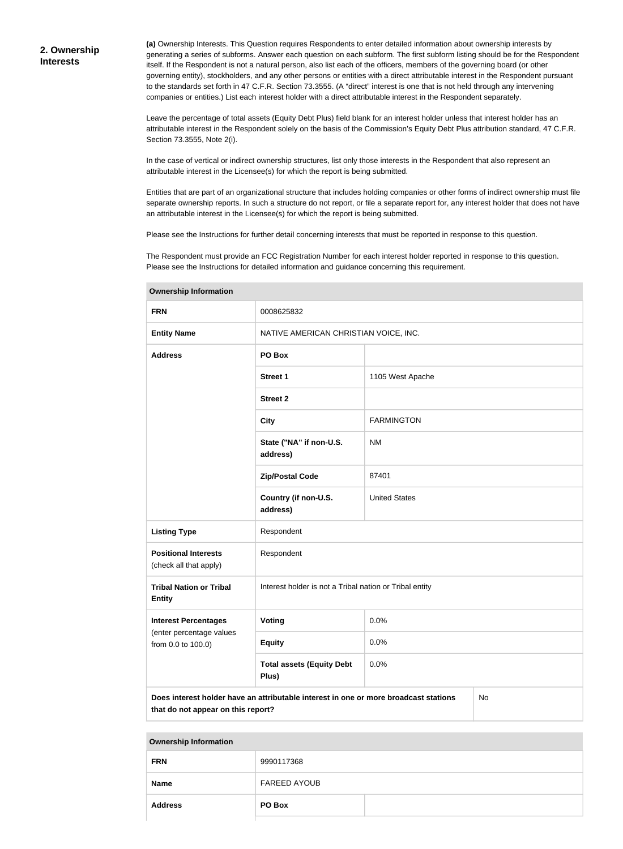**(a)** Ownership Interests. This Question requires Respondents to enter detailed information about ownership interests by generating a series of subforms. Answer each question on each subform. The first subform listing should be for the Respondent itself. If the Respondent is not a natural person, also list each of the officers, members of the governing board (or other governing entity), stockholders, and any other persons or entities with a direct attributable interest in the Respondent pursuant to the standards set forth in 47 C.F.R. Section 73.3555. (A "direct" interest is one that is not held through any intervening companies or entities.) List each interest holder with a direct attributable interest in the Respondent separately.

Leave the percentage of total assets (Equity Debt Plus) field blank for an interest holder unless that interest holder has an attributable interest in the Respondent solely on the basis of the Commission's Equity Debt Plus attribution standard, 47 C.F.R. Section 73.3555, Note 2(i).

In the case of vertical or indirect ownership structures, list only those interests in the Respondent that also represent an attributable interest in the Licensee(s) for which the report is being submitted.

Entities that are part of an organizational structure that includes holding companies or other forms of indirect ownership must file separate ownership reports. In such a structure do not report, or file a separate report for, any interest holder that does not have an attributable interest in the Licensee(s) for which the report is being submitted.

Please see the Instructions for further detail concerning interests that must be reported in response to this question.

The Respondent must provide an FCC Registration Number for each interest holder reported in response to this question. Please see the Instructions for detailed information and guidance concerning this requirement.

| <b>FRN</b>                                            | 0008625832                                                                                 |                      |  |
|-------------------------------------------------------|--------------------------------------------------------------------------------------------|----------------------|--|
| <b>Entity Name</b>                                    | NATIVE AMERICAN CHRISTIAN VOICE, INC.                                                      |                      |  |
| <b>Address</b>                                        | PO Box                                                                                     |                      |  |
|                                                       | <b>Street 1</b>                                                                            | 1105 West Apache     |  |
|                                                       | <b>Street 2</b>                                                                            |                      |  |
|                                                       | <b>City</b>                                                                                | <b>FARMINGTON</b>    |  |
|                                                       | State ("NA" if non-U.S.<br>address)                                                        | <b>NM</b>            |  |
|                                                       | <b>Zip/Postal Code</b>                                                                     | 87401                |  |
|                                                       | Country (if non-U.S.<br>address)                                                           | <b>United States</b> |  |
| <b>Listing Type</b>                                   | Respondent                                                                                 |                      |  |
| <b>Positional Interests</b><br>(check all that apply) | Respondent                                                                                 |                      |  |
| <b>Tribal Nation or Tribal</b><br><b>Entity</b>       | Interest holder is not a Tribal nation or Tribal entity                                    |                      |  |
| <b>Interest Percentages</b>                           | 0.0%<br><b>Voting</b>                                                                      |                      |  |
| (enter percentage values<br>from 0.0 to 100.0)        | <b>Equity</b><br>0.0%                                                                      |                      |  |
|                                                       | <b>Total assets (Equity Debt</b><br>Plus)                                                  | 0.0%                 |  |
| that do not appear on this report?                    | Does interest holder have an attributable interest in one or more broadcast stations<br>No |                      |  |

**Ownership Information**

#### **Ownership Information**

| <b>FRN</b>     | 9990117368          |  |
|----------------|---------------------|--|
| <b>Name</b>    | <b>FAREED AYOUB</b> |  |
| <b>Address</b> | PO Box              |  |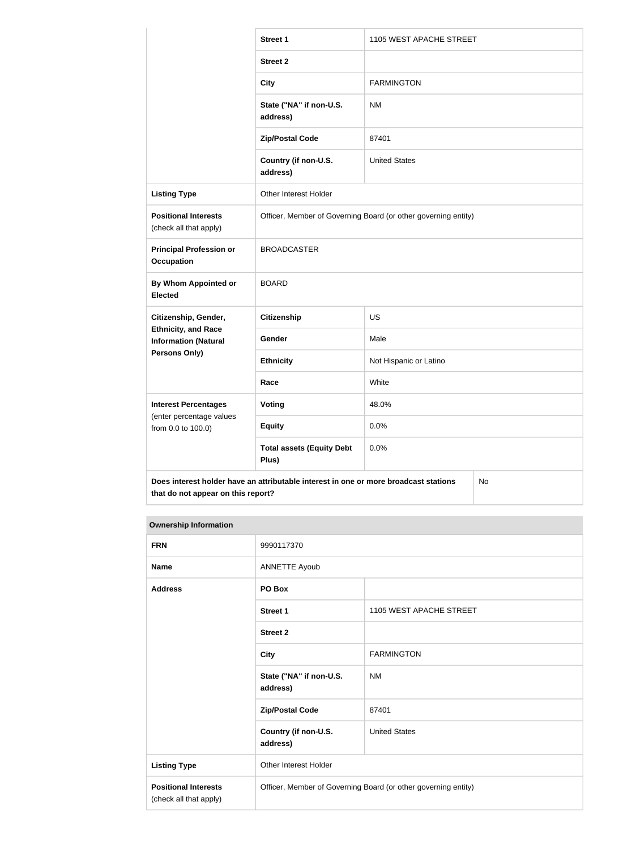|                                                                                            | <b>Street 1</b>                                                | 1105 WEST APACHE STREET |  |
|--------------------------------------------------------------------------------------------|----------------------------------------------------------------|-------------------------|--|
|                                                                                            | <b>Street 2</b>                                                |                         |  |
|                                                                                            | <b>City</b>                                                    | <b>FARMINGTON</b>       |  |
|                                                                                            | State ("NA" if non-U.S.<br>address)                            | <b>NM</b>               |  |
|                                                                                            | <b>Zip/Postal Code</b>                                         | 87401                   |  |
|                                                                                            | Country (if non-U.S.<br>address)                               | <b>United States</b>    |  |
| <b>Listing Type</b>                                                                        | Other Interest Holder                                          |                         |  |
| <b>Positional Interests</b><br>(check all that apply)                                      | Officer, Member of Governing Board (or other governing entity) |                         |  |
| <b>Principal Profession or</b><br><b>Occupation</b>                                        | <b>BROADCASTER</b>                                             |                         |  |
| <b>By Whom Appointed or</b><br><b>Elected</b>                                              | <b>BOARD</b>                                                   |                         |  |
| Citizenship, Gender,                                                                       | Citizenship                                                    | <b>US</b>               |  |
| <b>Ethnicity, and Race</b><br><b>Information (Natural</b>                                  | Gender                                                         | Male                    |  |
| <b>Persons Only)</b>                                                                       | <b>Ethnicity</b>                                               | Not Hispanic or Latino  |  |
|                                                                                            | Race                                                           | White                   |  |
| <b>Interest Percentages</b><br>(enter percentage values<br>from 0.0 to 100.0)              | Voting                                                         | 48.0%                   |  |
|                                                                                            | <b>Equity</b>                                                  | 0.0%                    |  |
|                                                                                            | <b>Total assets (Equity Debt</b><br>Plus)                      | 0.0%                    |  |
| Does interest holder have an attributable interest in one or more broadcast stations<br>No |                                                                |                         |  |

## **Ownership Information**

**that do not appear on this report?**

| <b>FRN</b>                                            | 9990117370                                                     |                         |  |
|-------------------------------------------------------|----------------------------------------------------------------|-------------------------|--|
| <b>Name</b>                                           | <b>ANNETTE Ayoub</b>                                           |                         |  |
| <b>Address</b>                                        | PO Box                                                         |                         |  |
|                                                       | <b>Street 1</b>                                                | 1105 WEST APACHE STREET |  |
|                                                       | <b>Street 2</b>                                                |                         |  |
|                                                       | <b>City</b>                                                    | <b>FARMINGTON</b>       |  |
|                                                       | State ("NA" if non-U.S.<br>address)                            | <b>NM</b>               |  |
|                                                       | <b>Zip/Postal Code</b>                                         | 87401                   |  |
|                                                       | Country (if non-U.S.<br>address)                               | <b>United States</b>    |  |
| <b>Listing Type</b>                                   | Other Interest Holder                                          |                         |  |
| <b>Positional Interests</b><br>(check all that apply) | Officer, Member of Governing Board (or other governing entity) |                         |  |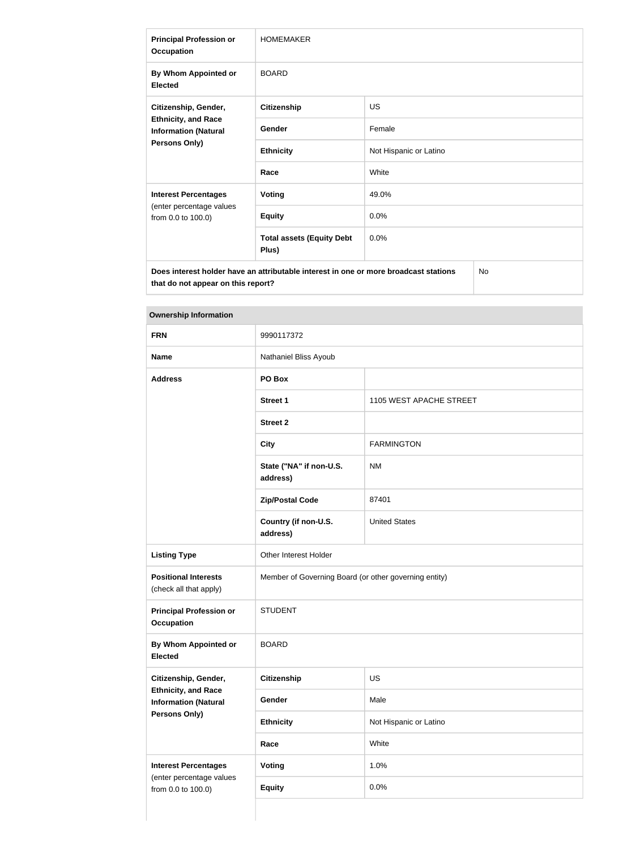| <b>Principal Profession or</b><br><b>Occupation</b>                                                       | <b>HOMEMAKER</b>                          |                        |  |
|-----------------------------------------------------------------------------------------------------------|-------------------------------------------|------------------------|--|
| By Whom Appointed or<br><b>Elected</b>                                                                    | <b>BOARD</b>                              |                        |  |
| Citizenship, Gender,<br><b>Ethnicity, and Race</b><br><b>Information (Natural</b><br><b>Persons Only)</b> | <b>Citizenship</b>                        | <b>US</b>              |  |
|                                                                                                           | Gender                                    | Female                 |  |
|                                                                                                           | <b>Ethnicity</b>                          | Not Hispanic or Latino |  |
|                                                                                                           | Race                                      | White                  |  |
| <b>Interest Percentages</b><br>(enter percentage values<br>from 0.0 to 100.0)                             | <b>Voting</b>                             | 49.0%                  |  |
|                                                                                                           | <b>Equity</b>                             | 0.0%                   |  |
|                                                                                                           | <b>Total assets (Equity Debt</b><br>Plus) | 0.0%                   |  |
| <b>No</b><br>Does interest holder have an attributable interest in one or more broadcast stations         |                                           |                        |  |

**Ownership Information**

**that do not appear on this report?**

| 9990117372<br>Nathaniel Bliss Ayoub<br>PO Box<br><b>Street 1</b><br><b>Street 2</b><br>State ("NA" if non-U.S.<br>address)<br><b>Zip/Postal Code</b><br>Country (if non-U.S. | 1105 WEST APACHE STREET<br><b>FARMINGTON</b><br><b>NM</b><br>87401 |
|------------------------------------------------------------------------------------------------------------------------------------------------------------------------------|--------------------------------------------------------------------|
|                                                                                                                                                                              |                                                                    |
|                                                                                                                                                                              |                                                                    |
|                                                                                                                                                                              |                                                                    |
|                                                                                                                                                                              |                                                                    |
|                                                                                                                                                                              |                                                                    |
|                                                                                                                                                                              |                                                                    |
|                                                                                                                                                                              |                                                                    |
|                                                                                                                                                                              |                                                                    |
| address)                                                                                                                                                                     | <b>United States</b>                                               |
| Other Interest Holder                                                                                                                                                        |                                                                    |
| Member of Governing Board (or other governing entity)                                                                                                                        |                                                                    |
| <b>STUDENT</b>                                                                                                                                                               |                                                                    |
| <b>BOARD</b>                                                                                                                                                                 |                                                                    |
| <b>Citizenship</b>                                                                                                                                                           | US                                                                 |
| Gender                                                                                                                                                                       | Male                                                               |
| <b>Ethnicity</b>                                                                                                                                                             | Not Hispanic or Latino                                             |
|                                                                                                                                                                              | White                                                              |
|                                                                                                                                                                              | 1.0%                                                               |
|                                                                                                                                                                              | 0.0%                                                               |
|                                                                                                                                                                              |                                                                    |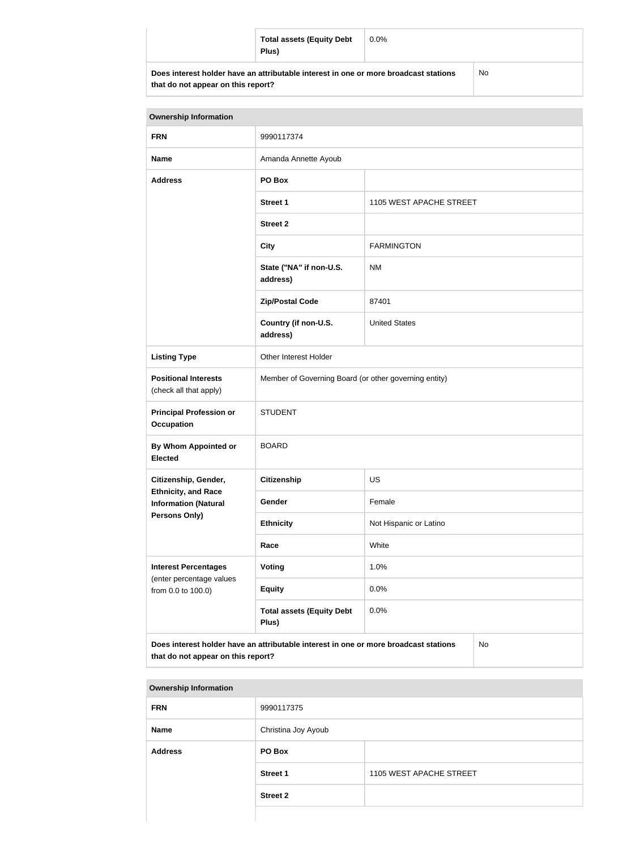| <b>Total assets (Equity Debt</b><br>Plus)                                            | $0.0\%$ |    |
|--------------------------------------------------------------------------------------|---------|----|
| Does interest holder have an attributable interest in one or more broadcast stations |         | No |

**that do not appear on this report?**

| <b>Ownership Information</b>                                                                                                     |                                                       |                         |  |  |
|----------------------------------------------------------------------------------------------------------------------------------|-------------------------------------------------------|-------------------------|--|--|
| <b>FRN</b>                                                                                                                       | 9990117374                                            |                         |  |  |
| <b>Name</b>                                                                                                                      | Amanda Annette Ayoub                                  |                         |  |  |
| <b>Address</b>                                                                                                                   | PO Box                                                |                         |  |  |
|                                                                                                                                  | <b>Street 1</b>                                       | 1105 WEST APACHE STREET |  |  |
|                                                                                                                                  | <b>Street 2</b>                                       |                         |  |  |
|                                                                                                                                  | <b>City</b>                                           | <b>FARMINGTON</b>       |  |  |
|                                                                                                                                  | State ("NA" if non-U.S.<br>address)                   | <b>NM</b>               |  |  |
|                                                                                                                                  | <b>Zip/Postal Code</b>                                | 87401                   |  |  |
|                                                                                                                                  | Country (if non-U.S.<br>address)                      | <b>United States</b>    |  |  |
| <b>Listing Type</b>                                                                                                              | Other Interest Holder                                 |                         |  |  |
| <b>Positional Interests</b><br>(check all that apply)                                                                            | Member of Governing Board (or other governing entity) |                         |  |  |
| <b>Principal Profession or</b><br>Occupation                                                                                     | <b>STUDENT</b>                                        |                         |  |  |
| By Whom Appointed or<br><b>Elected</b>                                                                                           | <b>BOARD</b>                                          |                         |  |  |
| Citizenship, Gender,                                                                                                             | <b>US</b><br><b>Citizenship</b>                       |                         |  |  |
| <b>Ethnicity, and Race</b><br><b>Information (Natural</b>                                                                        | Gender                                                | Female                  |  |  |
| <b>Persons Only)</b>                                                                                                             | <b>Ethnicity</b>                                      | Not Hispanic or Latino  |  |  |
|                                                                                                                                  | Race                                                  | White                   |  |  |
| <b>Interest Percentages</b>                                                                                                      | Voting                                                | 1.0%                    |  |  |
| (enter percentage values<br>from 0.0 to 100.0)                                                                                   | <b>Equity</b>                                         | 0.0%                    |  |  |
|                                                                                                                                  | <b>Total assets (Equity Debt</b><br>Plus)             | 0.0%                    |  |  |
| Does interest holder have an attributable interest in one or more broadcast stations<br>No<br>that do not appear on this report? |                                                       |                         |  |  |

| <b>Ownership Information</b> |                     |                         |
|------------------------------|---------------------|-------------------------|
| <b>FRN</b>                   | 9990117375          |                         |
| <b>Name</b>                  | Christina Joy Ayoub |                         |
| <b>Address</b>               | PO Box              |                         |
|                              | <b>Street 1</b>     | 1105 WEST APACHE STREET |
|                              | <b>Street 2</b>     |                         |
|                              |                     |                         |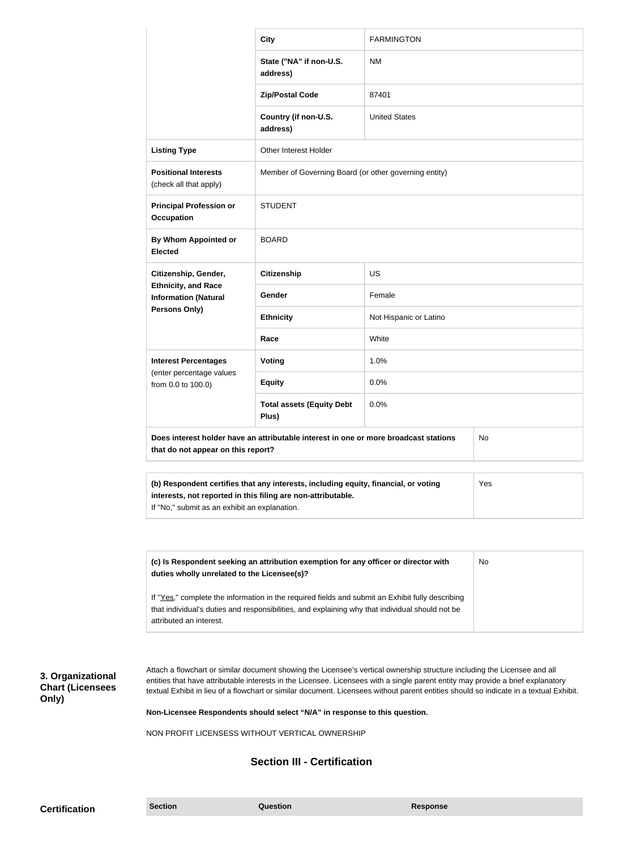|                                                                                                                                                                                                             | <b>City</b>                                           | <b>FARMINGTON</b>      |  |
|-------------------------------------------------------------------------------------------------------------------------------------------------------------------------------------------------------------|-------------------------------------------------------|------------------------|--|
|                                                                                                                                                                                                             | State ("NA" if non-U.S.<br>address)                   | <b>NM</b>              |  |
|                                                                                                                                                                                                             | <b>Zip/Postal Code</b>                                | 87401                  |  |
|                                                                                                                                                                                                             | Country (if non-U.S.<br>address)                      | <b>United States</b>   |  |
| <b>Listing Type</b>                                                                                                                                                                                         | Other Interest Holder                                 |                        |  |
| <b>Positional Interests</b><br>(check all that apply)                                                                                                                                                       | Member of Governing Board (or other governing entity) |                        |  |
| <b>Principal Profession or</b><br>Occupation                                                                                                                                                                | <b>STUDENT</b>                                        |                        |  |
| By Whom Appointed or<br><b>Elected</b>                                                                                                                                                                      | <b>BOARD</b>                                          |                        |  |
| Citizenship, Gender,<br><b>Ethnicity, and Race</b><br><b>Information (Natural</b><br><b>Persons Only)</b>                                                                                                   | <b>Citizenship</b>                                    | <b>US</b>              |  |
|                                                                                                                                                                                                             | Gender                                                | Female                 |  |
|                                                                                                                                                                                                             | <b>Ethnicity</b>                                      | Not Hispanic or Latino |  |
|                                                                                                                                                                                                             | Race                                                  | White                  |  |
| <b>Interest Percentages</b>                                                                                                                                                                                 | Voting                                                | 1.0%                   |  |
| (enter percentage values<br>from 0.0 to 100.0)                                                                                                                                                              | <b>Equity</b>                                         | 0.0%                   |  |
|                                                                                                                                                                                                             | <b>Total assets (Equity Debt</b><br>Plus)             | 0.0%                   |  |
| Does interest holder have an attributable interest in one or more broadcast stations<br>No<br>that do not appear on this report?                                                                            |                                                       |                        |  |
| (b) Respondent certifies that any interests, including equity, financial, or voting<br>Yes<br>interests, not reported in this filing are non-attributable.<br>If "No," submit as an exhibit an explanation. |                                                       |                        |  |

| (c) Is Respondent seeking an attribution exemption for any officer or director with<br>duties wholly unrelated to the Licensee(s)?                                                                  | No |
|-----------------------------------------------------------------------------------------------------------------------------------------------------------------------------------------------------|----|
| If "Yes," complete the information in the required fields and submit an Exhibit fully describing<br>that individual's duties and responsibilities, and explaining why that individual should not be |    |
| attributed an interest.                                                                                                                                                                             |    |

### **3. Organizational Chart (Licensees Only)**

Attach a flowchart or similar document showing the Licensee's vertical ownership structure including the Licensee and all entities that have attributable interests in the Licensee. Licensees with a single parent entity may provide a brief explanatory textual Exhibit in lieu of a flowchart or similar document. Licensees without parent entities should so indicate in a textual Exhibit.

**Non-Licensee Respondents should select "N/A" in response to this question.**

NON PROFIT LICENSESS WITHOUT VERTICAL OWNERSHIP

### **Section III - Certification**